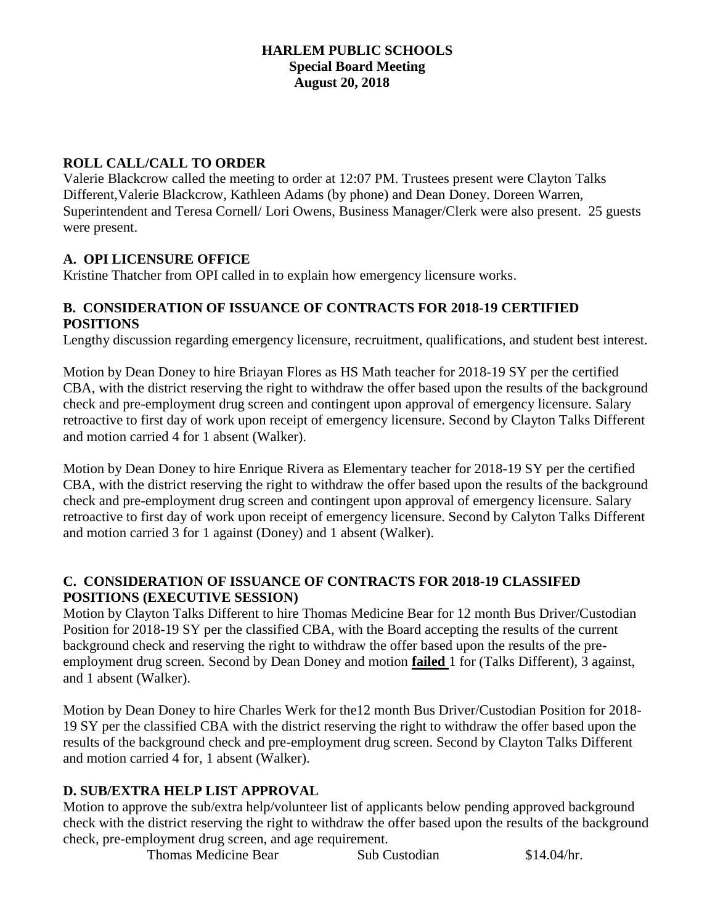### **HARLEM PUBLIC SCHOOLS Special Board Meeting August 20, 2018**

# **ROLL CALL/CALL TO ORDER**

Valerie Blackcrow called the meeting to order at 12:07 PM. Trustees present were Clayton Talks Different,Valerie Blackcrow, Kathleen Adams (by phone) and Dean Doney. Doreen Warren, Superintendent and Teresa Cornell/ Lori Owens, Business Manager/Clerk were also present. 25 guests were present.

### **A. OPI LICENSURE OFFICE**

Kristine Thatcher from OPI called in to explain how emergency licensure works.

# **B. CONSIDERATION OF ISSUANCE OF CONTRACTS FOR 2018-19 CERTIFIED POSITIONS**

Lengthy discussion regarding emergency licensure, recruitment, qualifications, and student best interest.

Motion by Dean Doney to hire Briayan Flores as HS Math teacher for 2018-19 SY per the certified CBA, with the district reserving the right to withdraw the offer based upon the results of the background check and pre-employment drug screen and contingent upon approval of emergency licensure. Salary retroactive to first day of work upon receipt of emergency licensure. Second by Clayton Talks Different and motion carried 4 for 1 absent (Walker).

Motion by Dean Doney to hire Enrique Rivera as Elementary teacher for 2018-19 SY per the certified CBA, with the district reserving the right to withdraw the offer based upon the results of the background check and pre-employment drug screen and contingent upon approval of emergency licensure. Salary retroactive to first day of work upon receipt of emergency licensure. Second by Calyton Talks Different and motion carried 3 for 1 against (Doney) and 1 absent (Walker).

### **C. CONSIDERATION OF ISSUANCE OF CONTRACTS FOR 2018-19 CLASSIFED POSITIONS (EXECUTIVE SESSION)**

Motion by Clayton Talks Different to hire Thomas Medicine Bear for 12 month Bus Driver/Custodian Position for 2018-19 SY per the classified CBA, with the Board accepting the results of the current background check and reserving the right to withdraw the offer based upon the results of the preemployment drug screen. Second by Dean Doney and motion **failed** 1 for (Talks Different), 3 against, and 1 absent (Walker).

Motion by Dean Doney to hire Charles Werk for the12 month Bus Driver/Custodian Position for 2018- 19 SY per the classified CBA with the district reserving the right to withdraw the offer based upon the results of the background check and pre-employment drug screen. Second by Clayton Talks Different and motion carried 4 for, 1 absent (Walker).

# **D. SUB/EXTRA HELP LIST APPROVAL**

Motion to approve the sub/extra help/volunteer list of applicants below pending approved background check with the district reserving the right to withdraw the offer based upon the results of the background check, pre-employment drug screen, and age requirement.

Thomas Medicine Bear Sub Custodian \$14.04/hr.